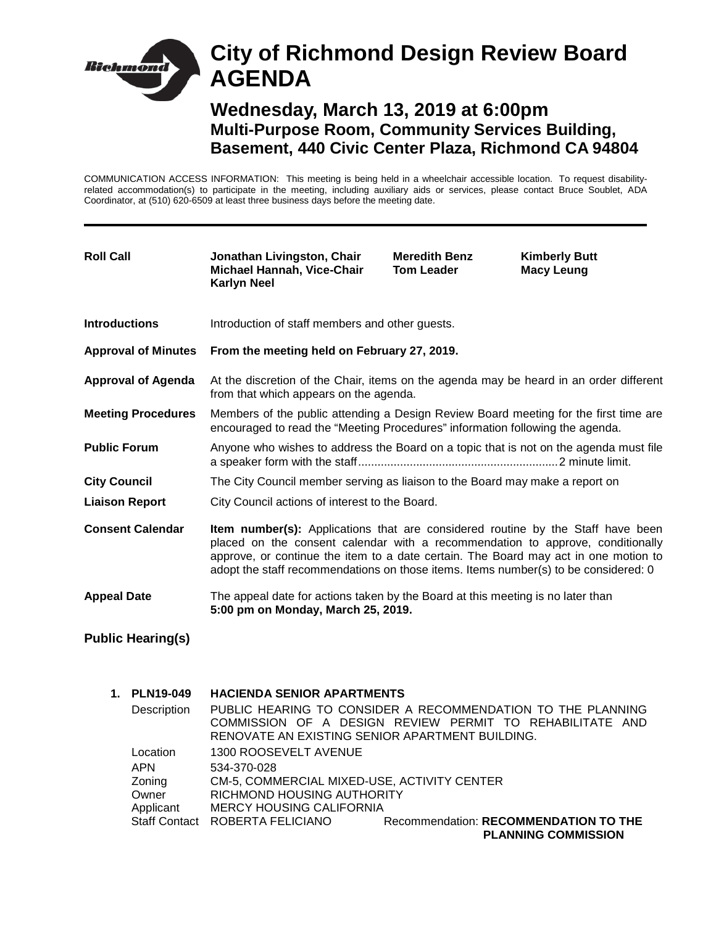# **City of Richmond Design Review Board Richmon AGENDA Wednesday, March 13, 2019 at 6:00pm Multi-Purpose Room, Community Services Building,**

COMMUNICATION ACCESS INFORMATION: This meeting is being held in a wheelchair accessible location. To request disabilityrelated accommodation(s) to participate in the meeting, including auxiliary aids or services, please contact Bruce Soublet, ADA Coordinator, at (510) 620-6509 at least three business days before the meeting date.

**Basement, 440 Civic Center Plaza, Richmond CA 94804**

| <b>Roll Call</b>           | Jonathan Livingston, Chair<br>Michael Hannah, Vice-Chair<br><b>Karlyn Neel</b>                                                                                                                                                                                                                                                                         | <b>Meredith Benz</b><br><b>Tom Leader</b> | <b>Kimberly Butt</b><br><b>Macy Leung</b> |
|----------------------------|--------------------------------------------------------------------------------------------------------------------------------------------------------------------------------------------------------------------------------------------------------------------------------------------------------------------------------------------------------|-------------------------------------------|-------------------------------------------|
| <b>Introductions</b>       | Introduction of staff members and other guests.                                                                                                                                                                                                                                                                                                        |                                           |                                           |
| <b>Approval of Minutes</b> | From the meeting held on February 27, 2019.                                                                                                                                                                                                                                                                                                            |                                           |                                           |
| <b>Approval of Agenda</b>  | At the discretion of the Chair, items on the agenda may be heard in an order different<br>from that which appears on the agenda.                                                                                                                                                                                                                       |                                           |                                           |
| <b>Meeting Procedures</b>  | Members of the public attending a Design Review Board meeting for the first time are<br>encouraged to read the "Meeting Procedures" information following the agenda.                                                                                                                                                                                  |                                           |                                           |
| <b>Public Forum</b>        | Anyone who wishes to address the Board on a topic that is not on the agenda must file                                                                                                                                                                                                                                                                  |                                           |                                           |
| <b>City Council</b>        | The City Council member serving as liaison to the Board may make a report on                                                                                                                                                                                                                                                                           |                                           |                                           |
| <b>Liaison Report</b>      | City Council actions of interest to the Board.                                                                                                                                                                                                                                                                                                         |                                           |                                           |
| <b>Consent Calendar</b>    | <b>Item number(s):</b> Applications that are considered routine by the Staff have been<br>placed on the consent calendar with a recommendation to approve, conditionally<br>approve, or continue the item to a date certain. The Board may act in one motion to<br>adopt the staff recommendations on those items. Items number(s) to be considered: 0 |                                           |                                           |
| <b>Appeal Date</b>         | The appeal date for actions taken by the Board at this meeting is no later than<br>5:00 pm on Monday, March 25, 2019.                                                                                                                                                                                                                                  |                                           |                                           |
| $DU$ blia Haarina $(a)$    |                                                                                                                                                                                                                                                                                                                                                        |                                           |                                           |

## **Public Hearing(s)**

| 1. | <b>PLN19-049</b>     | <b>HACIENDA SENIOR APARTMENTS</b>               |                                                                     |
|----|----------------------|-------------------------------------------------|---------------------------------------------------------------------|
|    | Description          |                                                 | PUBLIC HEARING TO CONSIDER A RECOMMENDATION TO THE PLANNING         |
|    |                      |                                                 | COMMISSION OF A DESIGN REVIEW PERMIT TO REHABILITATE AND            |
|    |                      | RENOVATE AN EXISTING SENIOR APARTMENT BUILDING. |                                                                     |
|    | Location             | 1300 ROOSEVELT AVENUE                           |                                                                     |
|    | <b>APN</b>           | 534-370-028                                     |                                                                     |
|    | Zoning               | CM-5, COMMERCIAL MIXED-USE, ACTIVITY CENTER     |                                                                     |
|    | Owner                | RICHMOND HOUSING AUTHORITY                      |                                                                     |
|    | Applicant            | <b>MERCY HOUSING CALIFORNIA</b>                 |                                                                     |
|    | <b>Staff Contact</b> | ROBERTA FELICIANO                               | Recommendation: RECOMMENDATION TO THE<br><b>PLANNING COMMISSION</b> |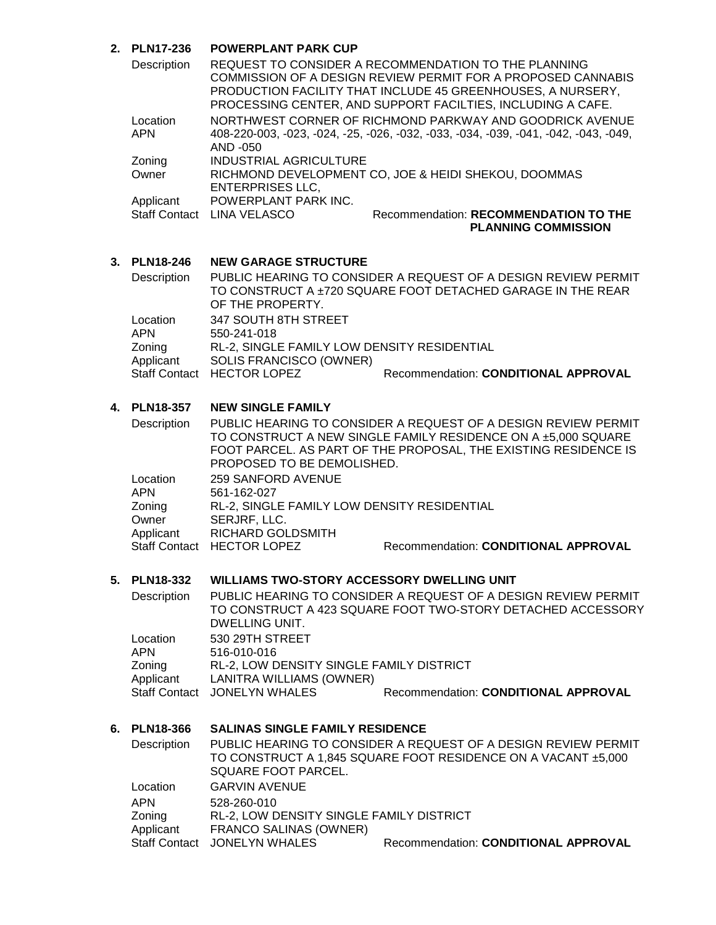## **2. PLN17-236 POWERPLANT PARK CUP**

| Description            |                               | REQUEST TO CONSIDER A RECOMMENDATION TO THE PLANNING<br>COMMISSION OF A DESIGN REVIEW PERMIT FOR A PROPOSED CANNABIS<br>PRODUCTION FACILITY THAT INCLUDE 45 GREENHOUSES, A NURSERY,<br>PROCESSING CENTER, AND SUPPORT FACILTIES, INCLUDING A CAFE. |
|------------------------|-------------------------------|----------------------------------------------------------------------------------------------------------------------------------------------------------------------------------------------------------------------------------------------------|
| Location<br><b>APN</b> | AND -050                      | NORTHWEST CORNER OF RICHMOND PARKWAY AND GOODRICK AVENUE<br>408-220-003, -023, -024, -25, -026, -032, -033, -034, -039, -041, -042, -043, -049,                                                                                                    |
| Zoning                 | <b>INDUSTRIAL AGRICULTURE</b> |                                                                                                                                                                                                                                                    |
| Owner                  | <b>ENTERPRISES LLC,</b>       | RICHMOND DEVELOPMENT CO, JOE & HEIDI SHEKOU, DOOMMAS                                                                                                                                                                                               |
| Applicant              | POWERPLANT PARK INC.          |                                                                                                                                                                                                                                                    |
| <b>Staff Contact</b>   | LINA VELASCO                  | Recommendation: RECOMMENDATION TO THE<br><b>PLANNING COMMISSION</b>                                                                                                                                                                                |

#### **3. PLN18-246 NEW GARAGE STRUCTURE**

| Description | OF THE PROPERTY.                            | PUBLIC HEARING TO CONSIDER A REQUEST OF A DESIGN REVIEW PERMIT<br>TO CONSTRUCT A ±720 SQUARE FOOT DETACHED GARAGE IN THE REAR |
|-------------|---------------------------------------------|-------------------------------------------------------------------------------------------------------------------------------|
| Location    | 347 SOUTH 8TH STREET                        |                                                                                                                               |
| APN         | 550-241-018                                 |                                                                                                                               |
| Zoning      | RL-2, SINGLE FAMILY LOW DENSITY RESIDENTIAL |                                                                                                                               |
| Applicant   | SOLIS FRANCISCO (OWNER)                     |                                                                                                                               |
|             | Staff Contact HECTOR LOPEZ                  | Recommendation: CONDITIONAL APPROVAL                                                                                          |

### **4. PLN18-357 NEW SINGLE FAMILY**

| Description | PROPOSED TO BE DEMOLISHED.                  | PUBLIC HEARING TO CONSIDER A REQUEST OF A DESIGN REVIEW PERMIT<br>TO CONSTRUCT A NEW SINGLE FAMILY RESIDENCE ON A ±5,000 SQUARE<br>FOOT PARCEL. AS PART OF THE PROPOSAL, THE EXISTING RESIDENCE IS |
|-------------|---------------------------------------------|----------------------------------------------------------------------------------------------------------------------------------------------------------------------------------------------------|
| Location    | 259 SANFORD AVENUE                          |                                                                                                                                                                                                    |
| <b>APN</b>  | 561-162-027                                 |                                                                                                                                                                                                    |
| Zoning      | RL-2, SINGLE FAMILY LOW DENSITY RESIDENTIAL |                                                                                                                                                                                                    |
| Owner       | SERJRF, LLC.                                |                                                                                                                                                                                                    |
| Applicant   | <b>RICHARD GOLDSMITH</b>                    |                                                                                                                                                                                                    |
|             | Staff Contact HECTOR LOPEZ                  | Recommendation: CONDITIONAL APPROVAL                                                                                                                                                               |

## **5. PLN18-332 WILLIAMS TWO-STORY ACCESSORY DWELLING UNIT**

| Description            | DWELLING UNIT.                                                              | PUBLIC HEARING TO CONSIDER A REQUEST OF A DESIGN REVIEW PERMIT<br>TO CONSTRUCT A 423 SQUARE FOOT TWO-STORY DETACHED ACCESSORY |
|------------------------|-----------------------------------------------------------------------------|-------------------------------------------------------------------------------------------------------------------------------|
| Location<br><b>APN</b> | 530 29TH STREET<br>516-010-016                                              |                                                                                                                               |
| Zoning<br>Applicant    | <b>RL-2, LOW DENSITY SINGLE FAMILY DISTRICT</b><br>LANITRA WILLIAMS (OWNER) |                                                                                                                               |
|                        | Staff Contact JONELYN WHALES                                                | Recommendation: CONDITIONAL APPROVAL                                                                                          |

## **6. PLN18-366 SALINAS SINGLE FAMILY RESIDENCE**

| Description | SQUARE FOOT PARCEL.                      | PUBLIC HEARING TO CONSIDER A REQUEST OF A DESIGN REVIEW PERMIT<br>TO CONSTRUCT A 1,845 SQUARE FOOT RESIDENCE ON A VACANT ±5,000 |
|-------------|------------------------------------------|---------------------------------------------------------------------------------------------------------------------------------|
| Location    | <b>GARVIN AVENUE</b>                     |                                                                                                                                 |
| APN         | 528-260-010                              |                                                                                                                                 |
| Zoning      | RL-2, LOW DENSITY SINGLE FAMILY DISTRICT |                                                                                                                                 |
| Applicant   | <b>FRANCO SALINAS (OWNER)</b>            |                                                                                                                                 |
|             | Staff Contact JONELYN WHALES             | Recommendation: CONDITIONAL APPROVAL                                                                                            |